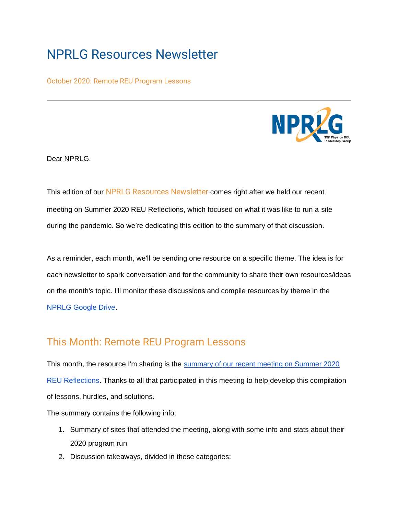## NPRLG Resources Newsletter

October 2020: Remote REU Program Lessons



Dear NPRLG,

This edition of our NPRLG Resources Newsletter comes right after we held our recent meeting on Summer 2020 REU Reflections, which focused on what it was like to run a site during the pandemic. So we're dedicating this edition to the summary of that discussion.

As a reminder, each month, we'll be sending one resource on a specific theme. The idea is for each newsletter to spark conversation and for the community to share their own resources/ideas on the month's topic. I'll monitor these discussions and compile resources by theme in th[e](https://drive.google.com/drive/folders/1XUNfd_ADIEP3DUFAUXf8F_rwWt0UcgXt?usp=sharing) [NPRLG Google Drive.](https://drive.google.com/drive/folders/1XUNfd_ADIEP3DUFAUXf8F_rwWt0UcgXt?usp=sharing)

## This Month: Remote REU Program Lessons

This month, th[e](https://docs.google.com/document/d/1y4M2NrgMdUsUQoGtvwV2sjPzOfyWoEVG7y5Yw3tsytE/edit?usp=sharing) resource I'm sharing is the summary of our recent meeting on Summer 2020 [REU Reflections.](https://docs.google.com/document/d/1y4M2NrgMdUsUQoGtvwV2sjPzOfyWoEVG7y5Yw3tsytE/edit?usp=sharing) Thanks to all that participated in this meeting to help develop this compilation of lessons, hurdles, and solutions.

The summary contains the following info:

- 1. Summary of sites that attended the meeting, along with some info and stats about their 2020 program run
- 2. Discussion takeaways, divided in these categories: